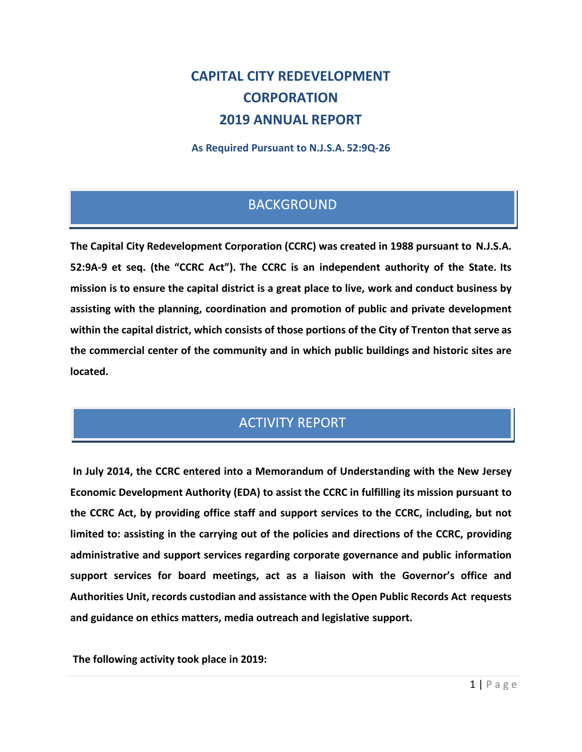# **CAPITAL CITY REDEVELOPMENT CORPORATION 2019 ANNUAL REPORT**

**As Required Pursuant to N.J.S.A. 52:9Q-26**

## **BACKGROUND**

**The Capital City Redevelopment Corporation (CCRC) was created in 1988 pursuant to N.J.S.A. 52:9A-9 et seq. (the "CCRC Act"). The CCRC is an independent authority of the State. Its mission is to ensure the capital district is a great place to live, work and conduct business by assisting with the planning, coordination and promotion of public and private development within the capital district, which consists of those portions of the City of Trenton that serve as the commercial center of the community and in which public buildings and historic sites are located.**

## **ACTIVITY REPORT**

**In July 2014, the CCRC entered into a Memorandum of Understanding with the New Jersey Economic Development Authority (EDA) to assist the CCRC in fulfilling its mission pursuant to the CCRC Act, by providing office staff and support services to the CCRC, including, but not limited to: assisting in the carrying out of the policies and directions of the CCRC, providing administrative and support services regarding corporate governance and public information support services for board meetings, act as a liaison with the Governor's office and Authorities Unit, records custodian and assistance with the Open Public Records Act requests and guidance on ethics matters, media outreach and legislative support.**

**The following activity took place in 2019:**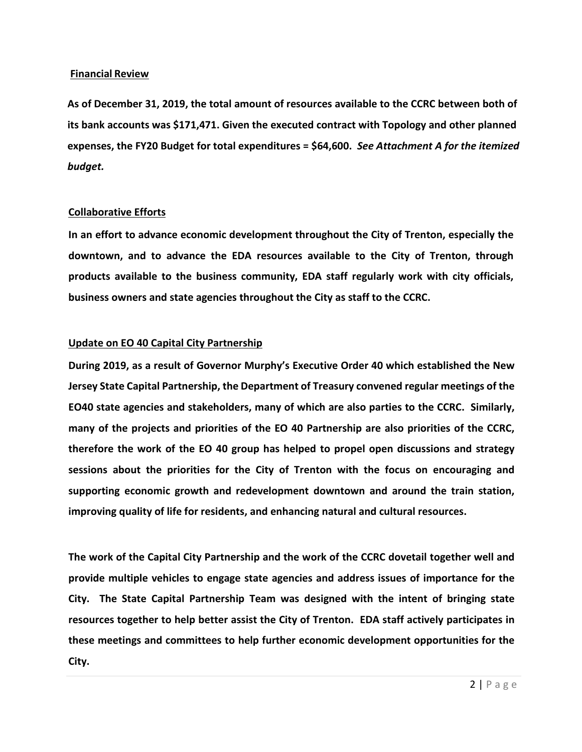#### **Financial Review**

**As of December 31, 2019, the total amount of resources available to the CCRC between both of its bank accounts was \$171,471. Given the executed contract with Topology and other planned expenses, the FY20 Budget for total expenditures = \$64,600.** *See Attachment A for the itemized budget.*

#### **Collaborative Efforts**

**In an effort to advance economic development throughout the City of Trenton, especially the downtown, and to advance the EDA resources available to the City of Trenton, through products available to the business community, EDA staff regularly work with city officials, business owners and state agencies throughout the City as staff to the CCRC.** 

#### **Update on EO 40 Capital City Partnership**

**During 2019, as a result of Governor Murphy's Executive Order 40 which established the New Jersey State Capital Partnership, the Department of Treasury convened regular meetings of the EO40 state agencies and stakeholders, many of which are also parties to the CCRC. Similarly, many of the projects and priorities of the EO 40 Partnership are also priorities of the CCRC, therefore the work of the EO 40 group has helped to propel open discussions and strategy sessions about the priorities for the City of Trenton with the focus on encouraging and supporting economic growth and redevelopment downtown and around the train station, improving quality of life for residents, and enhancing natural and cultural resources.** 

**The work of the Capital City Partnership and the work of the CCRC dovetail together well and provide multiple vehicles to engage state agencies and address issues of importance for the City. The State Capital Partnership Team was designed with the intent of bringing state resources together to help better assist the City of Trenton. EDA staff actively participates in these meetings and committees to help further economic development opportunities for the City.**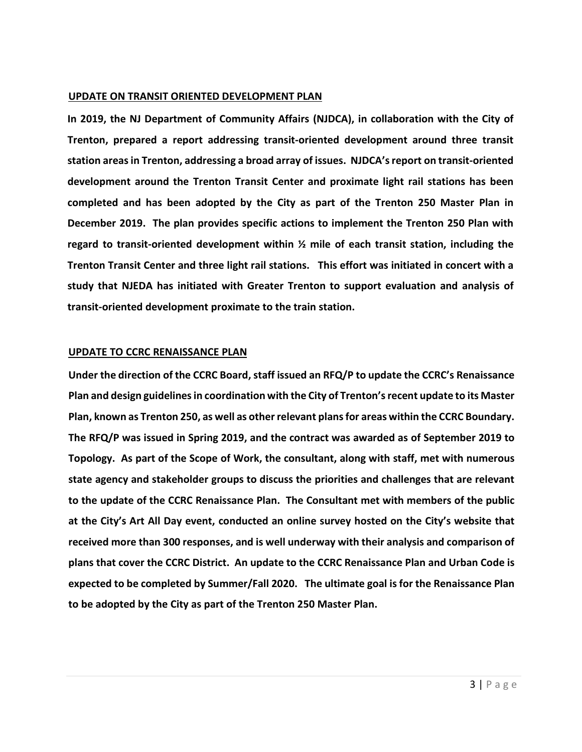#### **UPDATE ON TRANSIT ORIENTED DEVELOPMENT PLAN**

**In 2019, the NJ Department of Community Affairs (NJDCA), in collaboration with the City of Trenton, prepared a report addressing transit-oriented development around three transit station areasin Trenton, addressing a broad array of issues. NJDCA'sreport on transit-oriented development around the Trenton Transit Center and proximate light rail stations has been completed and has been adopted by the City as part of the Trenton 250 Master Plan in December 2019. The plan provides specific actions to implement the Trenton 250 Plan with regard to transit-oriented development within ½ mile of each transit station, including the Trenton Transit Center and three light rail stations. This effort was initiated in concert with a study that NJEDA has initiated with Greater Trenton to support evaluation and analysis of transit-oriented development proximate to the train station.** 

#### **UPDATE TO CCRC RENAISSANCE PLAN**

**Under the direction of the CCRC Board, staff issued an RFQ/P to update the CCRC's Renaissance Plan and design guidelines in coordination with the City of Trenton's recent update to its Master Plan, known as Trenton 250, as well as other relevant plans for areas within the CCRC Boundary. The RFQ/P was issued in Spring 2019, and the contract was awarded as of September 2019 to Topology. As part of the Scope of Work, the consultant, along with staff, met with numerous state agency and stakeholder groups to discuss the priorities and challenges that are relevant to the update of the CCRC Renaissance Plan. The Consultant met with members of the public at the City's Art All Day event, conducted an online survey hosted on the City's website that received more than 300 responses, and is well underway with their analysis and comparison of plans that cover the CCRC District. An update to the CCRC Renaissance Plan and Urban Code is expected to be completed by Summer/Fall 2020. The ultimate goal is for the Renaissance Plan to be adopted by the City as part of the Trenton 250 Master Plan.**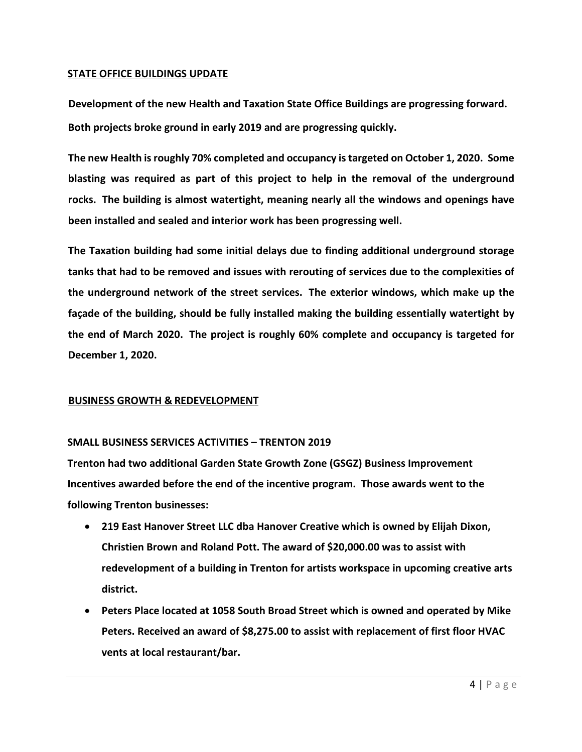#### **STATE OFFICE BUILDINGS UPDATE**

**Development of the new Health and Taxation State Office Buildings are progressing forward. Both projects broke ground in early 2019 and are progressing quickly.**

**The new Health is roughly 70% completed and occupancy is targeted on October 1, 2020. Some blasting was required as part of this project to help in the removal of the underground rocks. The building is almost watertight, meaning nearly all the windows and openings have been installed and sealed and interior work has been progressing well.**

**The Taxation building had some initial delays due to finding additional underground storage tanks that had to be removed and issues with rerouting of services due to the complexities of the underground network of the street services. The exterior windows, which make up the façade of the building, should be fully installed making the building essentially watertight by the end of March 2020. The project is roughly 60% complete and occupancy is targeted for December 1, 2020.** 

#### **BUSINESS GROWTH & REDEVELOPMENT**

## **SMALL BUSINESS SERVICES ACTIVITIES – TRENTON 2019**

**Trenton had two additional Garden State Growth Zone (GSGZ) Business Improvement Incentives awarded before the end of the incentive program. Those awards went to the following Trenton businesses:**

- **219 East Hanover Street LLC dba Hanover Creative which is owned by Elijah Dixon, Christien Brown and Roland Pott. The award of \$20,000.00 was to assist with redevelopment of a building in Trenton for artists workspace in upcoming creative arts district.**
- **Peters Place located at 1058 South Broad Street which is owned and operated by Mike Peters. Received an award of \$8,275.00 to assist with replacement of first floor HVAC vents at local restaurant/bar.**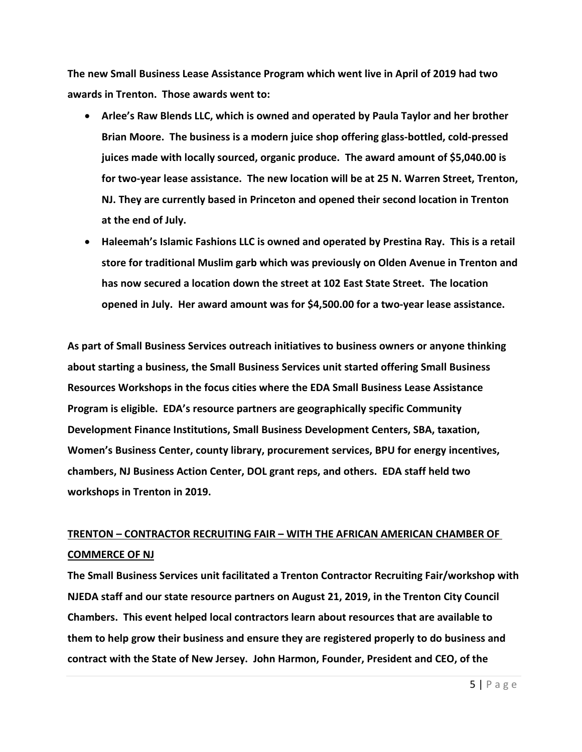**The new Small Business Lease Assistance Program which went live in April of 2019 had two awards in Trenton. Those awards went to:**

- **Arlee's Raw Blends LLC, which is owned and operated by Paula Taylor and her brother Brian Moore. The business is a modern juice shop offering glass-bottled, cold-pressed juices made with locally sourced, organic produce. The award amount of \$5,040.00 is for two-year lease assistance. The new location will be at 25 N. Warren Street, Trenton, NJ. They are currently based in Princeton and opened their second location in Trenton at the end of July.**
- **Haleemah's Islamic Fashions LLC is owned and operated by Prestina Ray. This is a retail store for traditional Muslim garb which was previously on Olden Avenue in Trenton and has now secured a location down the street at 102 East State Street. The location opened in July. Her award amount was for \$4,500.00 for a two-year lease assistance.**

**As part of Small Business Services outreach initiatives to business owners or anyone thinking about starting a business, the Small Business Services unit started offering Small Business Resources Workshops in the focus cities where the EDA Small Business Lease Assistance Program is eligible. EDA's resource partners are geographically specific Community Development Finance Institutions, Small Business Development Centers, SBA, taxation, Women's Business Center, county library, procurement services, BPU for energy incentives, chambers, NJ Business Action Center, DOL grant reps, and others. EDA staff held two workshops in Trenton in 2019.** 

## **TRENTON – CONTRACTOR RECRUITING FAIR – WITH THE AFRICAN AMERICAN CHAMBER OF COMMERCE OF NJ**

**The Small Business Services unit facilitated a Trenton Contractor Recruiting Fair/workshop with NJEDA staff and our state resource partners on August 21, 2019, in the Trenton City Council Chambers. This event helped local contractors learn about resources that are available to them to help grow their business and ensure they are registered properly to do business and contract with the State of New Jersey. John Harmon, Founder, President and CEO, of the**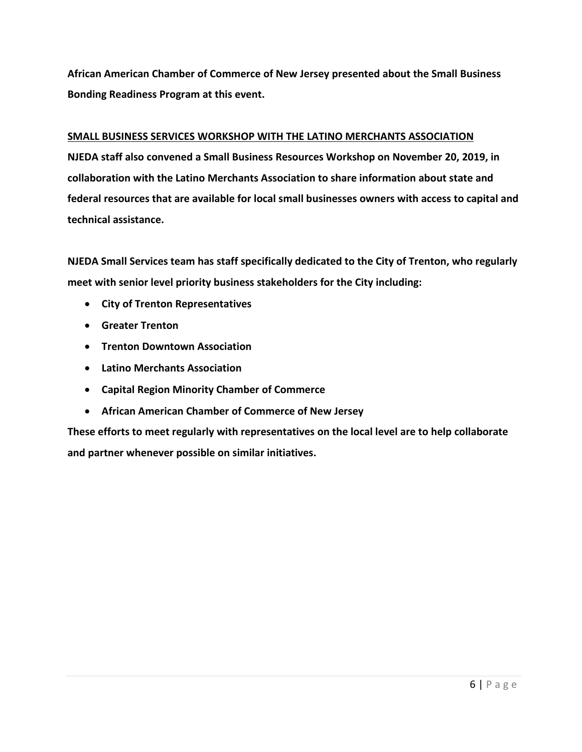**African American Chamber of Commerce of New Jersey presented about the Small Business Bonding Readiness Program at this event.** 

#### **SMALL BUSINESS SERVICES WORKSHOP WITH THE LATINO MERCHANTS ASSOCIATION**

**NJEDA staff also convened a Small Business Resources Workshop on November 20, 2019, in collaboration with the Latino Merchants Association to share information about state and federal resources that are available for local small businesses owners with access to capital and technical assistance.** 

**NJEDA Small Services team has staff specifically dedicated to the City of Trenton, who regularly meet with senior level priority business stakeholders for the City including:**

- **City of Trenton Representatives**
- **Greater Trenton**
- **Trenton Downtown Association**
- **Latino Merchants Association**
- **Capital Region Minority Chamber of Commerce**
- **African American Chamber of Commerce of New Jersey**

**These efforts to meet regularly with representatives on the local level are to help collaborate and partner whenever possible on similar initiatives.**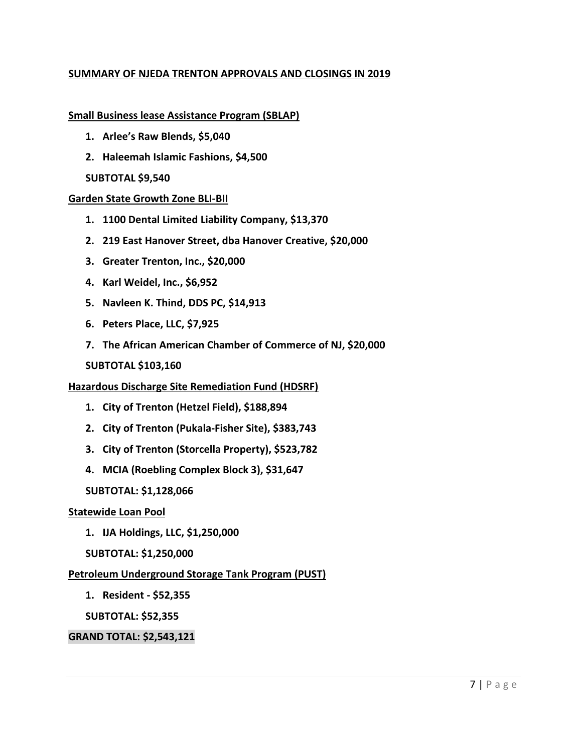## **SUMMARY OF NJEDA TRENTON APPROVALS AND CLOSINGS IN 2019**

#### **Small Business lease Assistance Program (SBLAP)**

- **1. Arlee's Raw Blends, \$5,040**
- **2. Haleemah Islamic Fashions, \$4,500**

## **SUBTOTAL \$9,540**

## **Garden State Growth Zone BLI-BII**

- **1. 1100 Dental Limited Liability Company, \$13,370**
- **2. 219 East Hanover Street, dba Hanover Creative, \$20,000**
- **3. Greater Trenton, Inc., \$20,000**
- **4. Karl Weidel, Inc., \$6,952**
- **5. Navleen K. Thind, DDS PC, \$14,913**
- **6. Peters Place, LLC, \$7,925**
- **7. The African American Chamber of Commerce of NJ, \$20,000**

## **SUBTOTAL \$103,160**

## **Hazardous Discharge Site Remediation Fund (HDSRF)**

- **1. City of Trenton (Hetzel Field), \$188,894**
- **2. City of Trenton (Pukala-Fisher Site), \$383,743**
- **3. City of Trenton (Storcella Property), \$523,782**
- **4. MCIA (Roebling Complex Block 3), \$31,647**

## **SUBTOTAL: \$1,128,066**

## **Statewide Loan Pool**

- **1. IJA Holdings, LLC, \$1,250,000**
- **SUBTOTAL: \$1,250,000**

## **Petroleum Underground Storage Tank Program (PUST)**

**1. Resident - \$52,355**

**SUBTOTAL: \$52,355**

## **GRAND TOTAL: \$2,543,121**